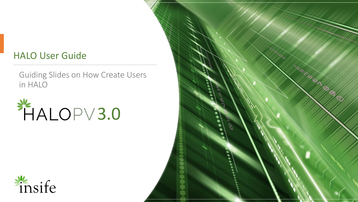#### HALO User Guide

Guiding Slides on How Create Users in HALO





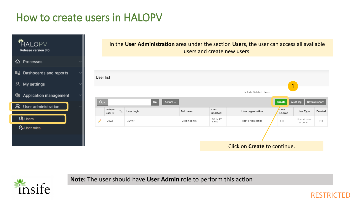# How to create users in HALOPV





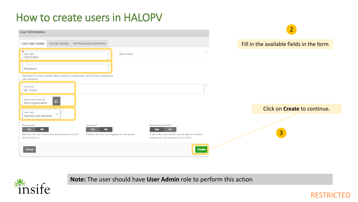# How to create users in HALOPV

| User information                                                                                                    |                                                                                  |                                                                                                                                                       | $\overline{2}$                           |
|---------------------------------------------------------------------------------------------------------------------|----------------------------------------------------------------------------------|-------------------------------------------------------------------------------------------------------------------------------------------------------|------------------------------------------|
| User login details<br>Contact details                                                                               | Notifications & Workflow                                                         |                                                                                                                                                       | Fill in the available fields in the form |
| User login<br><b>TESTUSER</b>                                                                                       | Date created                                                                     | ⊙                                                                                                                                                     |                                          |
| Password                                                                                                            |                                                                                  |                                                                                                                                                       |                                          |
| (Mandatory for initial creation. When saving an existing user, use this field to update the<br>user password)       |                                                                                  |                                                                                                                                                       |                                          |
| Full name<br>Mr. Tester                                                                                             |                                                                                  | 2)                                                                                                                                                    |                                          |
| Organizational Entity<br>$\equiv$<br>Root organization                                                              |                                                                                  |                                                                                                                                                       |                                          |
| User type<br>$\checkmark$                                                                                           |                                                                                  |                                                                                                                                                       | Click on <b>Create</b> to continue.      |
| Normal user account                                                                                                 |                                                                                  |                                                                                                                                                       |                                          |
| Delete user?<br><b>No</b><br>Yes<br>Removes the user from all lists except historic records<br>(Audit trails etc.). | Lock user?<br>Yes<br><b>No</b><br>Prevents the user from logging into the system | Enforce secure mail?<br><b>No</b><br><b>Yes</b><br>If set to No, users cannot receive reports in Emails -<br>instead the user receives a link to HALO | $\overline{3}$                           |
| Cancel                                                                                                              |                                                                                  | <b>Create</b>                                                                                                                                         |                                          |



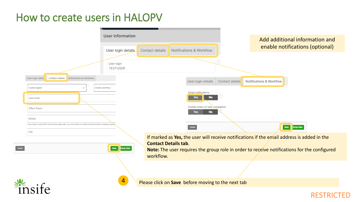#### How to create users in HALOPV



#### RESTRICTED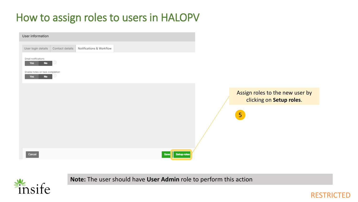# How to assign roles to users in HALOPV





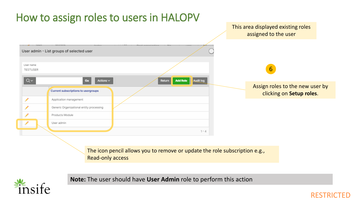



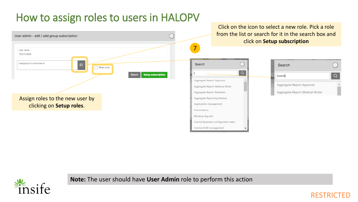# How to assign roles to users in HALOPV





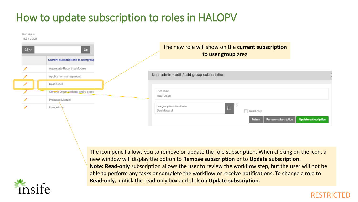# How to update subscription to roles in HALOPV

| User name<br><b>TESTUSER</b> |                                     |  |                                                                                                                          |  |  |  |
|------------------------------|-------------------------------------|--|--------------------------------------------------------------------------------------------------------------------------|--|--|--|
| $Q \vee$                     | Go                                  |  | The new role will show on the current subscription<br>to user group area                                                 |  |  |  |
|                              | Current subscriptions to usergroup  |  |                                                                                                                          |  |  |  |
|                              | Aggregate Reporting Module          |  |                                                                                                                          |  |  |  |
|                              | Application management              |  | User admin - edit / add group subscription                                                                               |  |  |  |
|                              | Dashboard                           |  |                                                                                                                          |  |  |  |
|                              | Generic Organizational entity proce |  | User name                                                                                                                |  |  |  |
|                              | Products Module                     |  | <b>TESTUSER</b>                                                                                                          |  |  |  |
|                              | User admin                          |  | Usergroup to subscribe to<br>$\equiv$<br>Dashboard<br>Read only<br><b>Return Remove subscription Undate subscription</b> |  |  |  |

The icon pencil allows you to remove or update the role subscription. When clicking on the icon, a new window will display the option to **Remove subscription** or to **Update subscription. Note: Read-only** subscription allows the user to review the workflow step, but the user will not be able to perform any tasks or complete the workflow or receive notifications. To change a role to **Read-only,** untick the read-only box and click on **Update subscription.** 



#### **RESTR**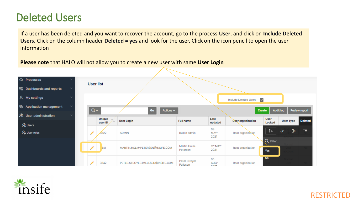### Deleted Users

If a user has been deleted and you want to recover the account, go to the process **User**, and click on **Include Deleted Users.** Click on the column header **Deleted = yes** and look for the user. Click on the icon pencil to open the user information

**Please note** that HALO will not allow you to create a new user with same **User Login**